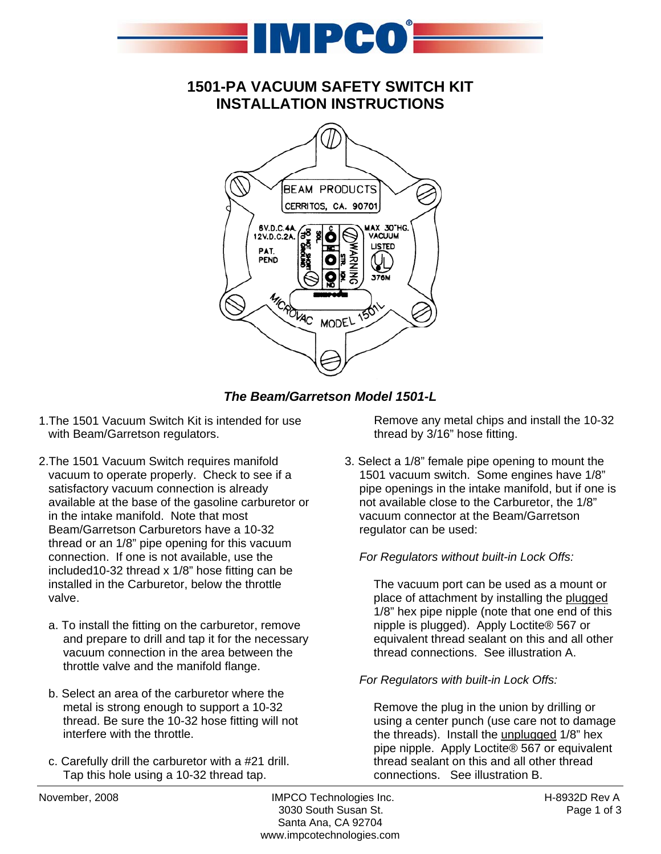

## **1501-PA VACUUM SAFETY SWITCH KIT INSTALLATION INSTRUCTIONS**



*The Beam/Garretson Model 1501-L* 

- 1.The 1501 Vacuum Switch Kit is intended for use with Beam/Garretson regulators.
- 2.The 1501 Vacuum Switch requires manifold vacuum to operate properly. Check to see if a satisfactory vacuum connection is already available at the base of the gasoline carburetor or in the intake manifold. Note that most Beam/Garretson Carburetors have a 10-32 thread or an 1/8" pipe opening for this vacuum connection. If one is not available, use the included10-32 thread x 1/8" hose fitting can be installed in the Carburetor, below the throttle valve.
	- a. To install the fitting on the carburetor, remove and prepare to drill and tap it for the necessary vacuum connection in the area between the throttle valve and the manifold flange.
	- b. Select an area of the carburetor where the metal is strong enough to support a 10-32 thread. Be sure the 10-32 hose fitting will not interfere with the throttle.
	- c. Carefully drill the carburetor with a #21 drill. Tap this hole using a 10-32 thread tap.

Remove any metal chips and install the 10-32 thread by 3/16" hose fitting.

3. Select a 1/8" female pipe opening to mount the 1501 vacuum switch. Some engines have 1/8" pipe openings in the intake manifold, but if one is not available close to the Carburetor, the 1/8" vacuum connector at the Beam/Garretson regulator can be used:

## *For Regulators without built-in Lock Offs:*

The vacuum port can be used as a mount or place of attachment by installing the plugged 1/8" hex pipe nipple (note that one end of this nipple is plugged). Apply Loctite® 567 or equivalent thread sealant on this and all other thread connections. See illustration A.

### *For Regulators with built-in Lock Offs:*

Remove the plug in the union by drilling or using a center punch (use care not to damage the threads). Install the unplugged 1/8" hex pipe nipple. Apply Loctite® 567 or equivalent thread sealant on this and all other thread connections. See illustration B.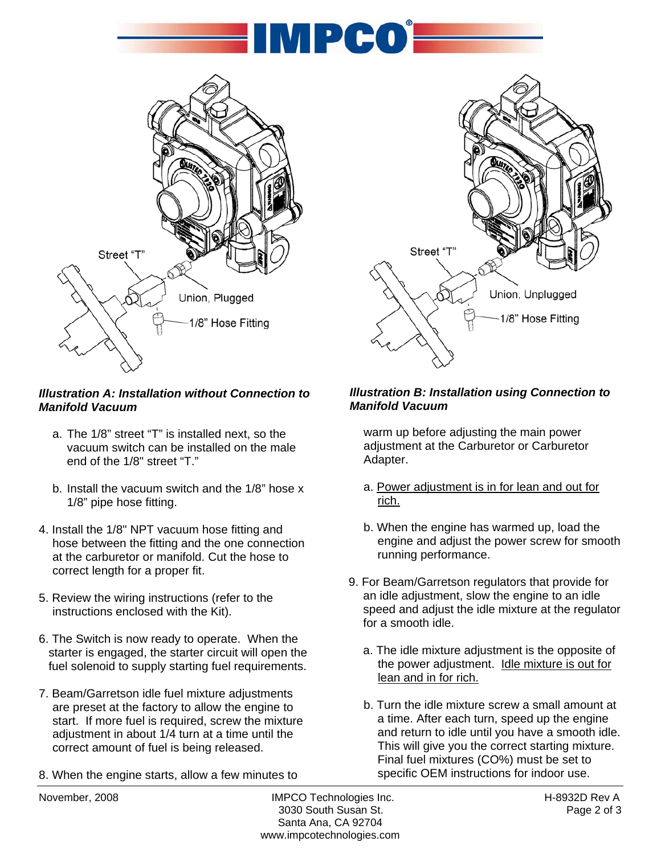



## *Illustration A: Installation without Connection to Manifold Vacuum*

- a. The 1/8" street "T" is installed next, so the vacuum switch can be installed on the male end of the 1/8" street "T."
- b. Install the vacuum switch and the 1/8" hose x 1/8" pipe hose fitting.
- 4. Install the 1/8" NPT vacuum hose fitting and hose between the fitting and the one connection at the carburetor or manifold. Cut the hose to correct length for a proper fit.
- 5. Review the wiring instructions (refer to the instructions enclosed with the Kit).
- 6. The Switch is now ready to operate. When the starter is engaged, the starter circuit will open the fuel solenoid to supply starting fuel requirements.
- 7. Beam/Garretson idle fuel mixture adjustments are preset at the factory to allow the engine to start. If more fuel is required, screw the mixture adjustment in about 1/4 turn at a time until the correct amount of fuel is being released.
- 8. When the engine starts, allow a few minutes to



## *Illustration B: Installation using Connection to Manifold Vacuum*

warm up before adjusting the main power adjustment at the Carburetor or Carburetor Adapter.

- a. Power adjustment is in for lean and out for rich.
- b. When the engine has warmed up, load the engine and adjust the power screw for smooth running performance.
- 9. For Beam/Garretson regulators that provide for an idle adjustment, slow the engine to an idle speed and adjust the idle mixture at the regulator for a smooth idle.
	- a. The idle mixture adjustment is the opposite of the power adjustment. Idle mixture is out for lean and in for rich.
	- b. Turn the idle mixture screw a small amount at a time. After each turn, speed up the engine and return to idle until you have a smooth idle. This will give you the correct starting mixture. Final fuel mixtures (CO%) must be set to specific OEM instructions for indoor use.